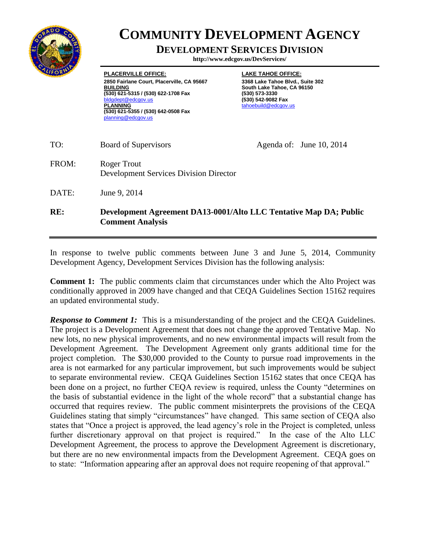

## **COMMUNITY DEVELOPMENT AGENCY**

**DEVELOPMENT SERVICES DIVISION**

**http://www.edcgov.us/DevServices/**

**PLACERVILLE OFFICE: 2850 Fairlane Court, Placerville, CA 95667 BUILDING (530) 621-5315 / (530) 622-1708 Fax**  dept@edcgov.us **PLANNING (530) 621-5355 / (530) 642-0508 Fax** planning@edcgov.us

**LAKE TAHOE OFFICE: 3368 Lake Tahoe Blvd., Suite 302 South Lake Tahoe, CA 96150 (530) 573-3330 (530) 542-9082 Fax** tahoebuild@edcgov.us

TO: Board of Supervisors Agenda of: June 10, 2014 FROM: Roger Trout Development Services Division Director DATE: June 9, 2014 **RE: Development Agreement DA13-0001/Alto LLC Tentative Map DA; Public Comment Analysis**

In response to twelve public comments between June 3 and June 5, 2014, Community Development Agency, Development Services Division has the following analysis:

**Comment 1:** The public comments claim that circumstances under which the Alto Project was conditionally approved in 2009 have changed and that CEQA Guidelines Section 15162 requires an updated environmental study.

*Response to Comment 1:* This is a misunderstanding of the project and the CEQA Guidelines. The project is a Development Agreement that does not change the approved Tentative Map. No new lots, no new physical improvements, and no new environmental impacts will result from the Development Agreement. The Development Agreement only grants additional time for the project completion. The \$30,000 provided to the County to pursue road improvements in the area is not earmarked for any particular improvement, but such improvements would be subject to separate environmental review. CEQA Guidelines Section 15162 states that once CEQA has been done on a project, no further CEQA review is required, unless the County "determines on the basis of substantial evidence in the light of the whole record" that a substantial change has occurred that requires review. The public comment misinterprets the provisions of the CEQA Guidelines stating that simply "circumstances" have changed. This same section of CEQA also states that "Once a project is approved, the lead agency's role in the Project is completed, unless further discretionary approval on that project is required." In the case of the Alto LLC Development Agreement, the process to approve the Development Agreement is discretionary, but there are no new environmental impacts from the Development Agreement. CEQA goes on to state: "Information appearing after an approval does not require reopening of that approval."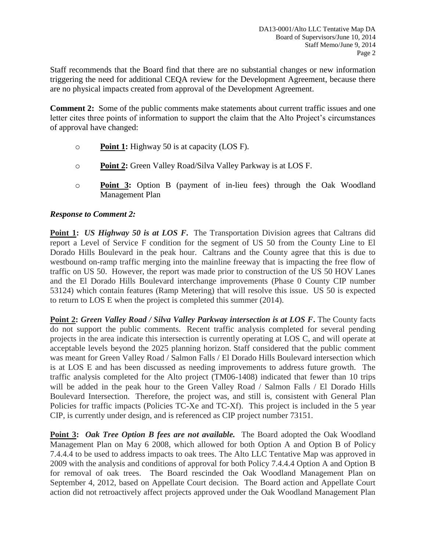Staff recommends that the Board find that there are no substantial changes or new information triggering the need for additional CEQA review for the Development Agreement, because there are no physical impacts created from approval of the Development Agreement.

**Comment 2:** Some of the public comments make statements about current traffic issues and one letter cites three points of information to support the claim that the Alto Project's circumstances of approval have changed:

- o **Point 1:** Highway 50 is at capacity (LOS F).
- o **Point 2:** Green Valley Road/Silva Valley Parkway is at LOS F.
- o **Point 3:** Option B (payment of in-lieu fees) through the Oak Woodland Management Plan

## *Response to Comment 2:*

**Point 1:** *US Highway 50 is at LOS F.* The Transportation Division agrees that Caltrans did report a Level of Service F condition for the segment of US 50 from the County Line to El Dorado Hills Boulevard in the peak hour. Caltrans and the County agree that this is due to westbound on-ramp traffic merging into the mainline freeway that is impacting the free flow of traffic on US 50. However, the report was made prior to construction of the US 50 HOV Lanes and the El Dorado Hills Boulevard interchange improvements (Phase 0 County CIP number 53124) which contain features (Ramp Metering) that will resolve this issue. US 50 is expected to return to LOS E when the project is completed this summer (2014).

**Point 2:** *Green Valley Road / Silva Valley Parkway intersection is at LOS F***.** The County facts do not support the public comments. Recent traffic analysis completed for several pending projects in the area indicate this intersection is currently operating at LOS C, and will operate at acceptable levels beyond the 2025 planning horizon. Staff considered that the public comment was meant for Green Valley Road / Salmon Falls / El Dorado Hills Boulevard intersection which is at LOS E and has been discussed as needing improvements to address future growth. The traffic analysis completed for the Alto project (TM06-1408) indicated that fewer than 10 trips will be added in the peak hour to the Green Valley Road / Salmon Falls / El Dorado Hills Boulevard Intersection. Therefore, the project was, and still is, consistent with General Plan Policies for traffic impacts (Policies TC-Xe and TC-Xf). This project is included in the 5 year CIP, is currently under design, and is referenced as CIP project number 73151.

**Point 3:** *Oak Tree Option B fees are not available.* The Board adopted the Oak Woodland Management Plan on May 6 2008, which allowed for both Option A and Option B of Policy 7.4.4.4 to be used to address impacts to oak trees. The Alto LLC Tentative Map was approved in 2009 with the analysis and conditions of approval for both Policy 7.4.4.4 Option A and Option B for removal of oak trees. The Board rescinded the Oak Woodland Management Plan on September 4, 2012, based on Appellate Court decision. The Board action and Appellate Court action did not retroactively affect projects approved under the Oak Woodland Management Plan